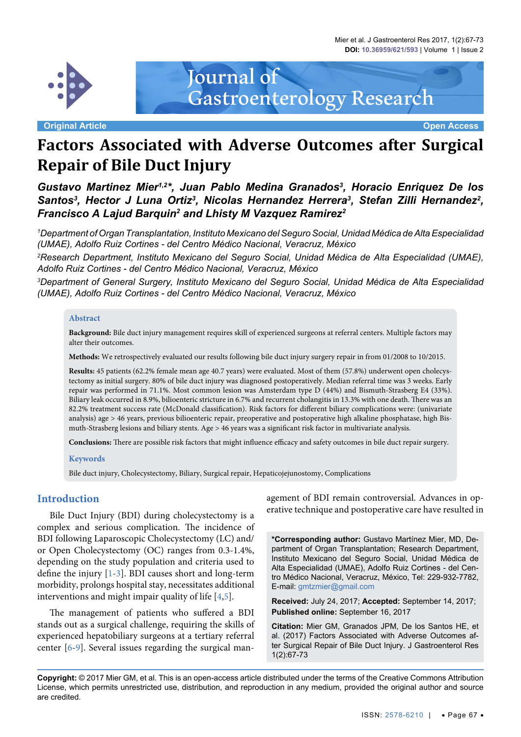Mier et al. J Gastroenterol Res 2017, 1(2):67-73 **DOI: 10.36959/621/593** | Volume 1 | Issue 2



**Original Article Open Access**

# **Factors Associated with Adverse Outcomes after Surgical Repair of Bile Duct Injury**

Gastroenterology Research

Journal of

Gustavo Martinez Mier<sup>1,2\*</sup>, Juan Pablo Medina Granados<sup>3</sup>, Horacio Enriquez De los Santos<sup>3</sup>, Hector J Luna Ortiz<sup>3</sup>, Nicolas Hernandez Herrera<sup>3</sup>, Stefan Zilli Hernandez<sup>2</sup>, *Francisco A Lajud Barquin2 and Lhisty M Vazquez Ramirez2*

*1 Department of Organ Transplantation, Instituto Mexicano del Seguro Social, Unidad Médica de Alta Especialidad (UMAE), Adolfo Ruiz Cortines - del Centro Médico Nacional, Veracruz, México* 

*2 Research Department, Instituto Mexicano del Seguro Social, Unidad Médica de Alta Especialidad (UMAE), Adolfo Ruiz Cortines - del Centro Médico Nacional, Veracruz, México*

*3 Department of General Surgery, Instituto Mexicano del Seguro Social, Unidad Médica de Alta Especialidad (UMAE), Adolfo Ruiz Cortines - del Centro Médico Nacional, Veracruz, México*

#### **Abstract**

**Background:** Bile duct injury management requires skill of experienced surgeons at referral centers. Multiple factors may alter their outcomes.

**Methods:** We retrospectively evaluated our results following bile duct injury surgery repair in from 01/2008 to 10/2015.

**Results:** 45 patients (62.2% female mean age 40.7 years) were evaluated. Most of them (57.8%) underwent open cholecystectomy as initial surgery. 80% of bile duct injury was diagnosed postoperatively. Median referral time was 3 weeks. Early repair was performed in 71.1%. Most common lesion was Amsterdam type D (44%) and Bismuth-Strasberg E4 (33%). Biliary leak occurred in 8.9%, bilioenteric stricture in 6.7% and recurrent cholangitis in 13.3% with one death. There was an 82.2% treatment success rate (McDonald classification). Risk factors for different biliary complications were: (univariate analysis) age > 46 years, previous bilioenteric repair, preoperative and postoperative high alkaline phosphatase, high Bismuth-Strasberg lesions and biliary stents. Age > 46 years was a significant risk factor in multivariate analysis.

**Conclusions:** There are possible risk factors that might influence efficacy and safety outcomes in bile duct repair surgery.

#### **Keywords**

Bile duct injury, Cholecystectomy, Biliary, Surgical repair, Hepaticojejunostomy, Complications

#### **Introduction**

Bile Duct Injury (BDI) during cholecystectomy is a complex and serious complication. The incidence of BDI following Laparoscopic Cholecystectomy (LC) and/ or Open Cholecystectomy (OC) ranges from 0.3-1.4%, depending on the study population and criteria used to define the injury [\[1-](#page-5-0)[3\]](#page-5-1). BDI causes short and long-term morbidity, prolongs hospital stay, necessitates additional interventions and might impair quality of life [\[4](#page-5-2),[5](#page-5-3)].

The management of patients who suffered a BDI stands out as a surgical challenge, requiring the skills of experienced hepatobiliary surgeons at a tertiary referral center [\[6-](#page-5-4)[9\]](#page-6-0). Several issues regarding the surgical management of BDI remain controversial. Advances in operative technique and postoperative care have resulted in

**\*Corresponding author:** Gustavo Martínez Mier, MD, Department of Organ Transplantation; Research Department, Instituto Mexicano del Seguro Social, Unidad Médica de Alta Especialidad (UMAE), Adolfo Ruiz Cortines - del Centro Médico Nacional, Veracruz, México, Tel: 229-932-7782, E-mail: gmtzmier@gmail.com

**Received:** July 24, 2017; **Accepted:** September 14, 2017; **Published online:** September 16, 2017

**Citation:** Mier GM, Granados JPM, De los Santos HE, et al. (2017) Factors Associated with Adverse Outcomes after Surgical Repair of Bile Duct Injury. J Gastroenterol Res 1(2):67-73

**Copyright:** © 2017 Mier GM, et al. This is an open-access article distributed under the terms of the Creative Commons Attribution License, which permits unrestricted use, distribution, and reproduction in any medium, provided the original author and source are credited.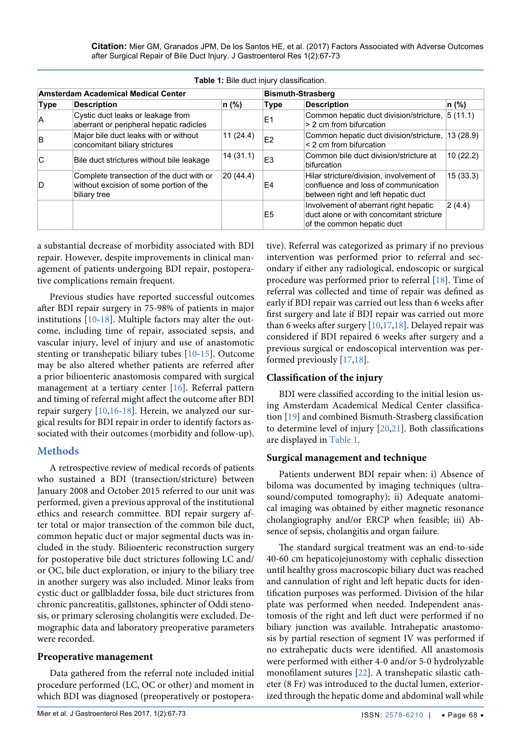**Citation:** Mier GM, Granados JPM, De los Santos HE, et al. (2017) Factors Associated with Adverse Outcomes after Surgical Repair of Bile Duct Injury. J Gastroenterol Res 1(2):67-73

|             |                                                                                                                       | <b>Table 1. Bile duct injury classification.</b> |                                                                                                                         |                                                                                                                 |          |  |
|-------------|-----------------------------------------------------------------------------------------------------------------------|--------------------------------------------------|-------------------------------------------------------------------------------------------------------------------------|-----------------------------------------------------------------------------------------------------------------|----------|--|
|             | <b>Amsterdam Academical Medical Center</b>                                                                            |                                                  | <b>Bismuth-Strasberg</b>                                                                                                |                                                                                                                 |          |  |
| <b>Type</b> | <b>Description</b>                                                                                                    | n (%)                                            | <b>Type</b>                                                                                                             | <b>Description</b>                                                                                              | n (%)    |  |
| A           | Cystic duct leaks or leakage from<br>aberrant or peripheral hepatic radicles                                          |                                                  | E <sub>1</sub>                                                                                                          | Common hepatic duct division/stricture,<br>> 2 cm from bifurcation                                              | 5(11.1)  |  |
| B           | Major bile duct leaks with or without<br>concomitant biliary strictures                                               | 11(24.4)                                         | E <sub>2</sub>                                                                                                          | Common hepatic duct division/stricture,<br>$\leq$ 2 cm from bifurcation                                         | 13(28.9) |  |
| C           | Bile duct strictures without bile leakage                                                                             | 14(31.1)                                         | E <sub>3</sub>                                                                                                          | Common bile duct division/stricture at<br>bifurcation                                                           | 10(22.2) |  |
| D           | 20(44.4)<br>Complete transection of the duct with or<br>without excision of some portion of the<br>E4<br>biliary tree |                                                  | Hilar stricture/division, involvement of<br>confluence and loss of communication<br>between right and left hepatic duct | 15(33.3)                                                                                                        |          |  |
|             |                                                                                                                       |                                                  | E <sub>5</sub>                                                                                                          | Involvement of aberrant right hepatic<br>duct alone or with concomitant stricture<br>of the common hepatic duct | 2(4.4)   |  |

<span id="page-1-0"></span>**Table 1:** Bile duct injury classification.

a substantial decrease of morbidity associated with BDI repair. However, despite improvements in clinical management of patients undergoing BDI repair, postoperative complications remain frequent.

Previous studies have reported successful outcomes after BDI repair surgery in 75-98% of patients in major institutions [\[10-](#page-6-2)[18](#page-6-1)]. Multiple factors may alter the outcome, including time of repair, associated sepsis, and vascular injury, level of injury and use of anastomotic stenting or transhepatic biliary tubes [\[10](#page-6-2)-[15\]](#page-6-8). Outcome may be also altered whether patients are referred after a prior bilioenteric anastomosis compared with surgical management at a tertiary center [[16](#page-6-9)]. Referral pattern and timing of referral might affect the outcome after BDI repair surgery [\[10,](#page-6-2)[16-](#page-6-9)[18](#page-6-1)]. Herein, we analyzed our surgical results for BDI repair in order to identify factors associated with their outcomes (morbidity and follow-up).

# **Methods**

A retrospective review of medical records of patients who sustained a BDI (transection/stricture) between January 2008 and October 2015 referred to our unit was performed, given a previous approval of the institutional ethics and research committee. BDI repair surgery after total or major transection of the common bile duct, common hepatic duct or major segmental ducts was included in the study. Bilioenteric reconstruction surgery for postoperative bile duct strictures following LC and/ or OC, bile duct exploration, or injury to the biliary tree in another surgery was also included. Minor leaks from cystic duct or gallbladder fossa, bile duct strictures from chronic pancreatitis, gallstones, sphincter of Oddi stenosis, or primary sclerosing cholangitis were excluded. Demographic data and laboratory preoperative parameters were recorded.

### **Preoperative management**

Data gathered from the referral note included initial procedure performed (LC, OC or other) and moment in which BDI was diagnosed (preoperatively or postoperative). Referral was categorized as primary if no previous intervention was performed prior to referral and secondary if either any radiological, endoscopic or surgical procedure was performed prior to referral [[18\]](#page-6-1). Time of referral was collected and time of repair was defined as early if BDI repair was carried out less than 6 weeks after first surgery and late if BDI repair was carried out more than 6 weeks after surgery  $[10,17,18]$  $[10,17,18]$  $[10,17,18]$  $[10,17,18]$ . Delayed repair was considered if BDI repaired 6 weeks after surgery and a previous surgical or endoscopical intervention was performed previously [[17](#page-6-3),[18](#page-6-1)].

### **Classification of the injury**

BDI were classified according to the initial lesion using Amsterdam Academical Medical Center classification [[19](#page-6-4)] and combined Bismuth-Strasberg classification to determine level of injury [\[20](#page-6-5),[21](#page-6-6)]. Both classifications are displayed in [Table 1.](#page-1-0)

### **Surgical management and technique**

Patients underwent BDI repair when: i) Absence of biloma was documented by imaging techniques (ultrasound/computed tomography); ii) Adequate anatomical imaging was obtained by either magnetic resonance cholangiography and/or ERCP when feasible; iii) Absence of sepsis, cholangitis and organ failure.

The standard surgical treatment was an end-to-side 40-60 cm hepaticojejunostomy with cephalic dissection until healthy gross macroscopic biliary duct was reached and cannulation of right and left hepatic ducts for identification purposes was performed. Division of the hilar plate was performed when needed. Independent anastomosis of the right and left duct were performed if no biliary junction was available. Intrahepatic anastomosis by partial resection of segment IV was performed if no extrahepatic ducts were identified. All anastomosis were performed with either 4-0 and/or 5-0 hydrolyzable monofilament sutures [\[22\]](#page-6-7). A transhepatic silastic catheter (8 Fr) was introduced to the ductal lumen, exteriorized through the hepatic dome and abdominal wall while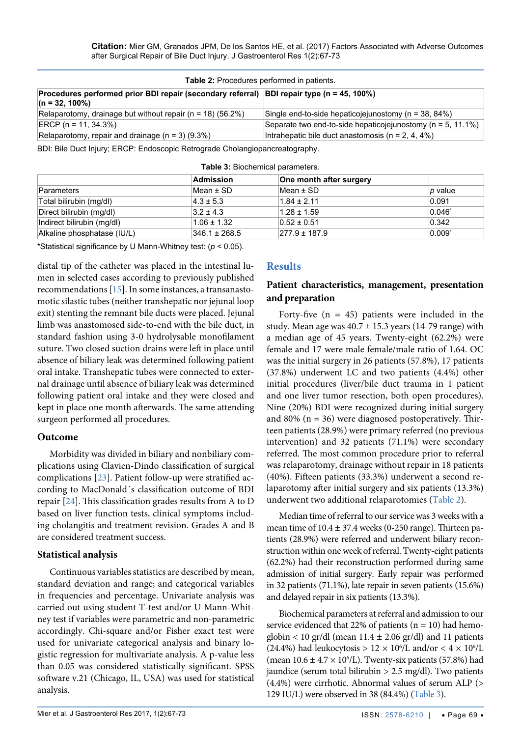| <b>Table 2:</b> Procedures performed in patients.                                                              |                                                                  |
|----------------------------------------------------------------------------------------------------------------|------------------------------------------------------------------|
| Procedures performed prior BDI repair (secondary referral) BDI repair type (n = 45, 100%)<br>$(n = 32, 100\%)$ |                                                                  |
| Relaparotomy, drainage but without repair ( $n = 18$ ) (56.2%)                                                 | Single end-to-side hepaticojejunostomy ( $n = 38, 84\%$ )        |
| $ ERCP (n = 11, 34.3%)$                                                                                        | Separate two end-to-side hepaticojejunostomy ( $n = 5, 11.1\%$ ) |
| Relaparotomy, repair and drainage $(n = 3)$ (9.3%)                                                             | Intrahepatic bile duct anastomosis ( $n = 2, 4, 4\%)$            |

BDI: Bile Duct Injury; ERCP: Endoscopic Retrograde Cholangiopancreatography.

|                             | Admission         | One month after surgery |                |
|-----------------------------|-------------------|-------------------------|----------------|
| Parameters                  | Mean $\pm$ SD     | Mean $\pm$ SD           | <i>p</i> value |
| Total bilirubin (mg/dl)     | $4.3 \pm 5.3$     | $1.84 \pm 2.11$         | 0.091          |
| Direct bilirubin (mg/dl)    | $3.2 \pm 4.3$     | $1.28 \pm 1.59$         | $0.046^*$      |
| Indirect bilirubin (mg/dl)  | $1.06 \pm 1.32$   | $0.52 \pm 0.51$         | 0.342          |
| Alkaline phosphatase (IU/L) | $346.1 \pm 268.5$ | $277.9 \pm 187.9$       | $0.009^*$      |

<span id="page-2-1"></span><span id="page-2-0"></span>**Table 3:** Biochemical parameters.

\*Statistical significance by U Mann-Whitney test: (*p* < 0.05).

distal tip of the catheter was placed in the intestinal lumen in selected cases according to previously published recommendations [[15](#page-6-8)]. In some instances, a transanastomotic silastic tubes (neither transhepatic nor jejunal loop exit) stenting the remnant bile ducts were placed. Jejunal limb was anastomosed side-to-end with the bile duct, in standard fashion using 3-0 hydrolysable monofilament suture. Two closed suction drains were left in place until absence of biliary leak was determined following patient oral intake. Transhepatic tubes were connected to external drainage until absence of biliary leak was determined following patient oral intake and they were closed and kept in place one month afterwards. The same attending surgeon performed all procedures.

### **Outcome**

Morbidity was divided in biliary and nonbiliary complications using Clavien-Dindo classification of surgical complications [\[23\]](#page-6-10). Patient follow-up were stratified according to MacDonald´s classification outcome of BDI repair [\[24\]](#page-6-11). This classification grades results from A to D based on liver function tests, clinical symptoms including cholangitis and treatment revision. Grades A and B are considered treatment success.

### **Statistical analysis**

Continuous variables statistics are described by mean, standard deviation and range; and categorical variables in frequencies and percentage. Univariate analysis was carried out using student T-test and/or U Mann-Whitney test if variables were parametric and non-parametric accordingly. Chi-square and/or Fisher exact test were used for univariate categorical analysis and binary logistic regression for multivariate analysis. A p-value less than 0.05 was considered statistically significant. SPSS software v.21 (Chicago, IL, USA) was used for statistical analysis.

# **Results**

# **Patient characteristics, management, presentation and preparation**

Forty-five  $(n = 45)$  patients were included in the study. Mean age was  $40.7 \pm 15.3$  years (14-79 range) with a median age of 45 years. Twenty-eight (62.2%) were female and 17 were male female/male ratio of 1.64. OC was the initial surgery in 26 patients (57.8%), 17 patients (37.8%) underwent LC and two patients (4.4%) other initial procedures (liver/bile duct trauma in 1 patient and one liver tumor resection, both open procedures). Nine (20%) BDI were recognized during initial surgery and 80% ( $n = 36$ ) were diagnosed postoperatively. Thirteen patients (28.9%) were primary referred (no previous intervention) and 32 patients (71.1%) were secondary referred. The most common procedure prior to referral was relaparotomy, drainage without repair in 18 patients (40%). Fifteen patients (33.3%) underwent a second relaparotomy after initial surgery and six patients (13.3%) underwent two additional relaparotomies [\(Table 2\)](#page-2-0).

Median time of referral to our service was 3 weeks with a mean time of  $10.4 \pm 37.4$  weeks (0-250 range). Thirteen patients (28.9%) were referred and underwent biliary reconstruction within one week of referral. Twenty-eight patients (62.2%) had their reconstruction performed during same admission of initial surgery. Early repair was performed in 32 patients (71.1%), late repair in seven patients (15.6%) and delayed repair in six patients (13.3%).

Biochemical parameters at referral and admission to our service evidenced that 22% of patients  $(n = 10)$  had hemoglobin < 10 gr/dl (mean  $11.4 \pm 2.06$  gr/dl) and 11 patients (24.4%) had leukocytosis >  $12 \times 10^6$ /L and/or <  $4 \times 10^6$ /L (mean  $10.6 \pm 4.7 \times 10^6$ /L). Twenty-six patients (57.8%) had jaundice (serum total bilirubin  $> 2.5$  mg/dl). Two patients (4.4%) were cirrhotic. Abnormal values of serum ALP (> 129 IU/L) were observed in 38 (84.4%) [\(Table 3\)](#page-2-1).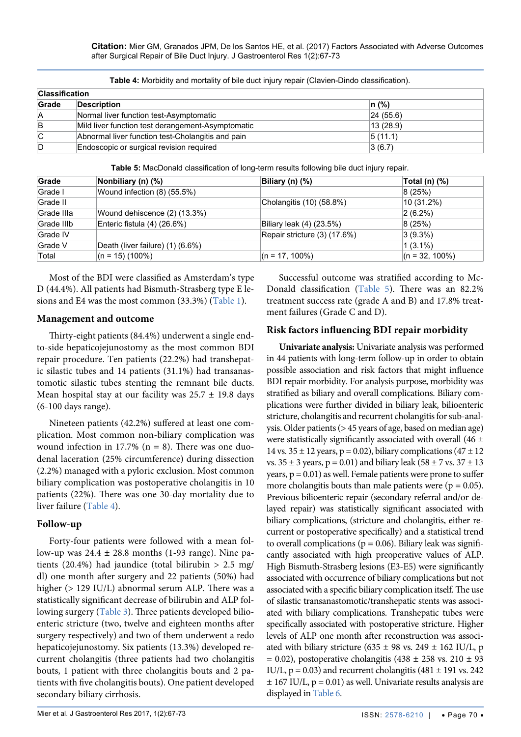| <b>Classification</b> |                                                   |          |
|-----------------------|---------------------------------------------------|----------|
| Grade                 | <b>Description</b>                                | $n(\%)$  |
| А                     | Normal liver function test-Asymptomatic           | 24(55.6) |
| B                     | Mild liver function test derangement-Asymptomatic | 13(28.9) |
| C                     | Abnormal liver function test-Cholangitis and pain | 5(11.1)  |
| D                     | Endoscopic or surgical revision required          | 3(6.7)   |

<span id="page-3-1"></span>**Table 4:** Morbidity and mortality of bile duct injury repair (Clavien-Dindo classification).

<span id="page-3-0"></span>

| Table 5: MacDonald classification of long-term results following bile duct injury repair. |  |
|-------------------------------------------------------------------------------------------|--|
|-------------------------------------------------------------------------------------------|--|

| Grade      | Nonbiliary (n) (%)               | Biliary (n) (%)              | Total (n) (%)     |
|------------|----------------------------------|------------------------------|-------------------|
| Grade I    | Wound infection $(8)$ (55.5%)    |                              | 8(25%)            |
| Grade II   |                                  | Cholangitis (10) (58.8%)     | 10 (31.2%)        |
| Grade IIIa | Wound dehiscence (2) (13.3%)     |                              | $ 2(6.2\%) $      |
| Grade IIIb | Enteric fistula (4) (26.6%)      | Biliary leak (4) (23.5%)     | 8(25%)            |
| Grade IV   |                                  | Repair stricture (3) (17.6%) | $ 3(9.3\%)$       |
| Grade V    | Death (liver failure) (1) (6.6%) |                              | $(3.1\%)$         |
| Total      | $(n = 15) (100\%)$               | $(n = 17, 100\%)$            | $(n = 32, 100\%)$ |

Most of the BDI were classified as Amsterdam's type D (44.4%). All patients had Bismuth-Strasberg type E lesions and E4 was the most common (33.3%) [\(Table 1\)](#page-1-0).

#### **Management and outcome**

Thirty-eight patients (84.4%) underwent a single endto-side hepaticojejunostomy as the most common BDI repair procedure. Ten patients (22.2%) had transhepatic silastic tubes and 14 patients (31.1%) had transanastomotic silastic tubes stenting the remnant bile ducts. Mean hospital stay at our facility was  $25.7 \pm 19.8$  days (6-100 days range).

Nineteen patients (42.2%) suffered at least one complication. Most common non-biliary complication was wound infection in 17.7% ( $n = 8$ ). There was one duodenal laceration (25% circumference) during dissection (2.2%) managed with a pyloric exclusion. Most common biliary complication was postoperative cholangitis in 10 patients (22%). There was one 30-day mortality due to liver failure ([Table 4](#page-3-1)).

### **Follow-up**

Forty-four patients were followed with a mean follow-up was  $24.4 \pm 28.8$  months (1-93 range). Nine patients (20.4%) had jaundice (total bilirubin  $> 2.5$  mg/ dl) one month after surgery and 22 patients (50%) had higher (> 129 IU/L) abnormal serum ALP. There was a statistically significant decrease of bilirubin and ALP following surgery ([Table 3\)](#page-2-1). Three patients developed bilioenteric stricture (two, twelve and eighteen months after surgery respectively) and two of them underwent a redo hepaticojejunostomy. Six patients (13.3%) developed recurrent cholangitis (three patients had two cholangitis bouts, 1 patient with three cholangitis bouts and 2 patients with five cholangitis bouts). One patient developed secondary biliary cirrhosis.

Successful outcome was stratified according to Mc-Donald classification [\(Table 5\)](#page-3-0). There was an 82.2% treatment success rate (grade A and B) and 17.8% treatment failures (Grade C and D).

# **Risk factors influencing BDI repair morbidity**

**Univariate analysis:** Univariate analysis was performed in 44 patients with long-term follow-up in order to obtain possible association and risk factors that might influence BDI repair morbidity. For analysis purpose, morbidity was stratified as biliary and overall complications. Biliary complications were further divided in biliary leak, bilioenteric stricture, cholangitis and recurrent cholangitis for sub-analysis. Older patients (> 45 years of age, based on median age) were statistically significantly associated with overall (46  $\pm$ 14 vs.  $35 \pm 12$  years, p = 0.02), biliary complications  $(47 \pm 12)$ vs.  $35 \pm 3$  years, p = 0.01) and biliary leak (58  $\pm$  7 vs.  $37 \pm 13$ ) years,  $p = 0.01$ ) as well. Female patients were prone to suffer more cholangitis bouts than male patients were ( $p = 0.05$ ). Previous bilioenteric repair (secondary referral and/or delayed repair) was statistically significant associated with biliary complications, (stricture and cholangitis, either recurrent or postoperative specifically) and a statistical trend to overall complications ( $p = 0.06$ ). Biliary leak was significantly associated with high preoperative values of ALP. High Bismuth-Strasberg lesions (E3-E5) were significantly associated with occurrence of biliary complications but not associated with a specific biliary complication itself. The use of silastic transanastomotic/transhepatic stents was associated with biliary complications. Transhepatic tubes were specifically associated with postoperative stricture. Higher levels of ALP one month after reconstruction was associated with biliary stricture (635  $\pm$  98 vs. 249  $\pm$  162 IU/L, p  $= 0.02$ ), postoperative cholangitis (438  $\pm$  258 vs. 210  $\pm$  93 IU/L,  $p = 0.03$ ) and recurrent cholangitis (481  $\pm$  191 vs. 242  $\pm$  167 IU/L,  $p = 0.01$ ) as well. Univariate results analysis are displayed in [Table 6](#page-4-0).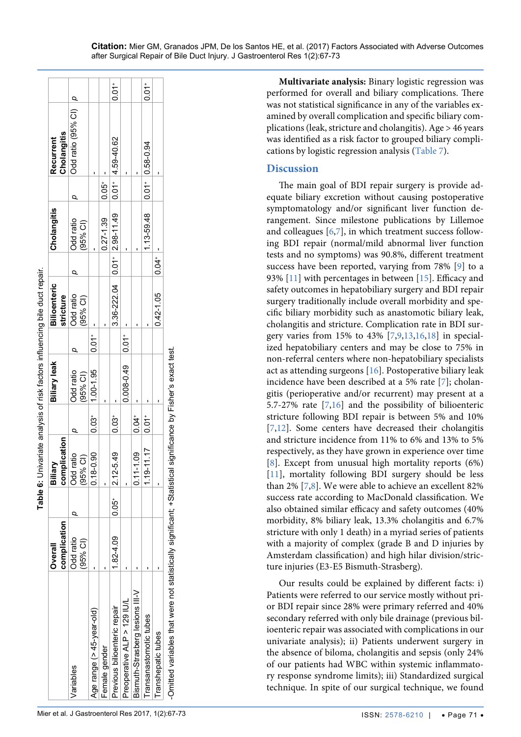|                                                                                                               |                                | <br> <br> <br> <br> <br> <br> <br> <br> |                     |                      |                     |                                  |                     |                         |           |                                |                     |
|---------------------------------------------------------------------------------------------------------------|--------------------------------|-----------------------------------------|---------------------|----------------------|---------------------|----------------------------------|---------------------|-------------------------|-----------|--------------------------------|---------------------|
|                                                                                                               | complication<br><b>Dverall</b> | complication<br>Biliary                 |                     | Biliary leak         |                     | <b>Bilioenteric</b><br>stricture |                     | Cholangitis             |           | Cholangitis<br>Recurrent       |                     |
| Variables                                                                                                     | Odd ratio<br>$(95%$ CI)        | <b>Ddd</b> ratio<br>$(95%$ CI)          |                     | Odd ratio<br>95% CI) |                     | Odd ratio<br>(95% CI)            |                     | Odd ratio<br>$(95%$ CI) |           | Odd ratio (95% CI) p           |                     |
| Age range (> 45-year-old)                                                                                     |                                | $0.18 - 0.90$                           | $0.03+$             | $1.00 - 1.95$        | $0.01$ <sup>+</sup> |                                  |                     |                         |           |                                |                     |
| Female gender                                                                                                 |                                |                                         |                     |                      |                     |                                  |                     | $0.27 - 1.39$           | ່<br>0.05 |                                |                     |
| Previous bilioenteric repair                                                                                  | $.82 - 4.09$                   | $0.05^+$ 2.12-5.49                      | $0.03*$             |                      |                     | $3.36 - 222.04$ 0.01 2.98-11.49  |                     |                         |           | $0.01$ <sup>+</sup> 4.59-40.62 | $\overline{0}$ :0   |
| Preoperative ALP > 129 IU/L                                                                                   |                                |                                         |                     | $0.008 - 0.49$ 0.01  |                     |                                  |                     |                         |           |                                |                     |
| Bismuth-Strasberg lesions III-V                                                                               |                                | $0.11 - 1.09$                           | $0.04$ <sup>+</sup> |                      |                     |                                  |                     |                         |           |                                |                     |
| Fransanastomotic tubes                                                                                        |                                | $1.19 - 11.17$                          | $0.01$ <sup>+</sup> |                      |                     |                                  |                     | 1.13-59.48              |           | $0.01$ $0.58 - 0.94$           | $0.01$ <sup>+</sup> |
| Transhepatic tubes                                                                                            |                                |                                         |                     |                      |                     | $0.42 - 1.05$                    | $0.04$ <sup>+</sup> |                         |           |                                |                     |
| -Omitted variables that were not statistically significant; +Statistical significance by Fisher's exact test. |                                |                                         |                     |                      |                     |                                  |                     |                         |           |                                |                     |

after Surgical Repair of Bile Duct Injury. J Gastroenterol Res 1(2):67-73

**Multivariate analysis:** Binary logistic regression was performed for overall and biliary complications. There was not statistical significance in any of the variables ex amined by overall complication and specific biliary com plications (leak, stricture and cholangitis). Age > 46 years was identified as a risk factor to grouped biliary compli cations by logistic regression analysis [\(Table 7\)](#page-5-5).

## **Discussion**

**Citation:** Mier GM, Granados JPM, De los Santos HE, et al. (2017) Factors Associated with Adverse Outcomes

The main goal of BDI repair surgery is provide ad equate biliary excretion without causing postoperative symptomatology and/or significant liver function de rangement. Since milestone publications by Lillemoe and colleagues [[6](#page-5-4),[7](#page-5-6)], in which treatment success following BDI repair (normal/mild abnormal liver function tests and no symptoms) was 90.8%, different treatment success have been reported, varying from 78% [ [9\]](#page-6-0) to a 93% [\[11\]](#page-6-12) with percentages in between [\[15\]](#page-6-8). Efficacy and safety outcomes in hepatobiliary surgery and BDI repair surgery traditionally include overall morbidity and spe cific biliary morbidity such as anastomotic biliary leak, cholangitis and stricture. Complication rate in BDI sur - gery varies from 15% to 43% [[7](#page-5-6),[9](#page-6-0),[13](#page-6-13),[16](#page-6-9),[18](#page-6-1)] in specialized hepatobiliary centers and may be close to 75% in non-referral centers where non-hepatobiliary specialists act as attending surgeons [\[16\]](#page-6-9). Postoperative biliary leak incidence have been described at a 5% rate [ [7\]](#page-5-6); cholan gitis (perioperative and/or recurrent) may present at a 5.7-27% rate [ [7](#page-5-6) ,[16\]](#page-6-9) and the possibility of bilioenteric s[tr](#page-5-6)[ict](#page-6-14)ure following BDI repair is between 5% and 10% [[7](#page-5-6)[,12\]](#page-6-14). Some centers have decreased their cholangitis and stricture incidence from 11% to 6% and 13% to 5% r[es](#page-5-7)pectively, as they have grown in experience over time [[8\]](#page-5-7)[.](#page-6-12) Except from unusual high mortality reports (6%) [[11](#page-6-12)], mortality following BDI surgery should be less than 2% [ [7](#page-5-6) , [8\]](#page-5-7). We were able to achieve an excellent 82% success rate according to MacDonald classification. We also obtained similar efficacy and safety outcomes (40% morbidity, 8% biliary leak, 13.3% cholangitis and 6.7% stricture with only 1 death) in a myriad series of patients with a majority of complex (grade B and D injuries by Amsterdam classification) and high hilar division/stric ture injuries (E3-E5 Bismuth-Strasberg).

<span id="page-4-0"></span>Our results could be explained by different facts: i) Patients were referred to our service mostly without pri or BDI repair since 28% were primary referred and 40% secondary referred with only bile drainage (previous bil ioenteric repair was associated with complications in our univariate analysis); ii) Patients underwent surgery in the absence of biloma, cholangitis and sepsis (only 24% of our patients had WBC within systemic inflammato ry response syndrome limits); iii) Standardized surgical technique. In spite of our surgical technique, we found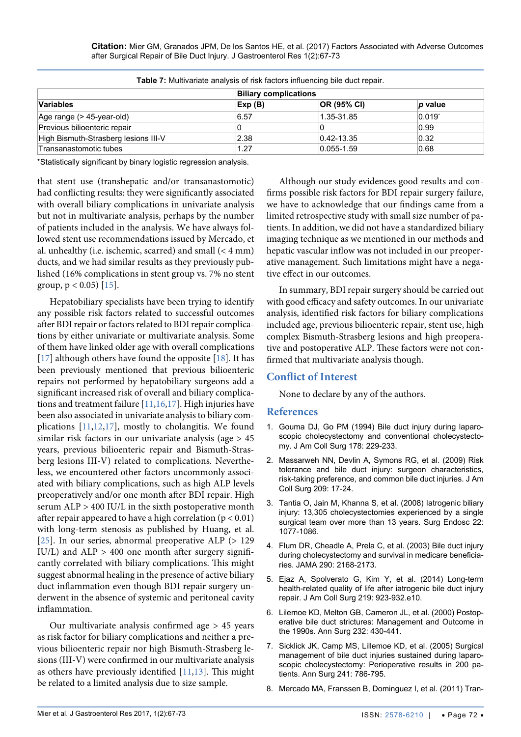**Citation:** Mier GM, Granados JPM, De los Santos HE, et al. (2017) Factors Associated with Adverse Outcomes after Surgical Repair of Bile Duct Injury. J Gastroenterol Res 1(2):67-73

| <b>TWIP TO MORTAL CHARGE OF HIS RESIDENT INTERFERING SHOWS COOL FOR ALL</b> |                              |                  |                 |
|-----------------------------------------------------------------------------|------------------------------|------------------|-----------------|
|                                                                             | <b>Biliary complications</b> |                  |                 |
| Variables                                                                   | Exp(B)                       | OR (95% CI)      | <i>p</i> value  |
| Age range (> 45-year-old)                                                   | 6.57                         | 1.35-31.85       | $0.019^{\circ}$ |
| Previous bilioenteric repair                                                |                              |                  | 0.99            |
| High Bismuth-Strasberg lesions III-V                                        | 2.38                         | $ 0.42 - 13.35 $ | 0.32            |
| Transanastomotic tubes                                                      | 1.27                         | $0.055 - 1.59$   | 0.68            |

<span id="page-5-5"></span>**Table 7:** Multivariate analysis of risk factors influencing bile duct repair.

\*Statistically significant by binary logistic regression analysis.

that stent use (transhepatic and/or transanastomotic) had conflicting results: they were significantly associated with overall biliary complications in univariate analysis but not in multivariate analysis, perhaps by the number of patients included in the analysis. We have always followed stent use recommendations issued by Mercado, et al. unhealthy (i.e. ischemic, scarred) and small (< 4 mm) ducts, and we had similar results as they previously published (16% complications in stent group vs. 7% no stent group,  $p < 0.05$  [\[15\]](#page-6-8).

Hepatobiliary specialists have been trying to identify any possible risk factors related to successful outcomes after BDI repair or factors related to BDI repair complications by either univariate or multivariate analysis. Some of them have linked older age with overall complications [\[17\]](#page-6-3) although others have found the opposite [\[18\]](#page-6-1). It has been previously mentioned that previous bilioenteric repairs not performed by hepatobiliary surgeons add a significant increased risk of overall and biliary complications and treatment failure [\[11,](#page-6-12)[16,](#page-6-9)[17\]](#page-6-3). High injuries have been also associated in univariate analysis to biliary complications [[11](#page-6-12),[12](#page-6-14),[17](#page-6-3)], mostly to cholangitis. We found similar risk factors in our univariate analysis (age > 45 years, previous bilioenteric repair and Bismuth-Strasberg lesions III-V) related to complications. Nevertheless, we encountered other factors uncommonly associated with biliary complications, such as high ALP levels preoperatively and/or one month after BDI repair. High serum ALP > 400 IU/L in the sixth postoperative month after repair appeared to have a high correlation ( $p < 0.01$ ) with long-term stenosis as published by Huang, et al. [\[25\]](#page-6-15). In our series, abnormal preoperative ALP (> 129 IU/L) and  $ALP > 400$  one month after surgery significantly correlated with biliary complications. This might suggest abnormal healing in the presence of active biliary duct inflammation even though BDI repair surgery underwent in the absence of systemic and peritoneal cavity inflammation.

Our multivariate analysis confirmed age > 45 years as risk factor for biliary complications and neither a previous bilioenteric repair nor high Bismuth-Strasberg lesions (III-V) were confirmed in our multivariate analysis as others have previously identified [[11](#page-6-12),[13](#page-6-13)]. This might be related to a limited analysis due to size sample.

Although our study evidences good results and confirms possible risk factors for BDI repair surgery failure, we have to acknowledge that our findings came from a limited retrospective study with small size number of patients. In addition, we did not have a standardized biliary imaging technique as we mentioned in our methods and hepatic vascular inflow was not included in our preoperative management. Such limitations might have a negative effect in our outcomes.

In summary, BDI repair surgery should be carried out with good efficacy and safety outcomes. In our univariate analysis, identified risk factors for biliary complications included age, previous bilioenteric repair, stent use, high complex Bismuth-Strasberg lesions and high preoperative and postoperative ALP. These factors were not confirmed that multivariate analysis though.

### **Conflict of Interest**

None to declare by any of the authors.

### **References**

- <span id="page-5-0"></span>1. [Gouma DJ, Go PM \(1994\) Bile duct injury during laparo](https://www.ncbi.nlm.nih.gov/pubmed/8149013)[scopic cholecystectomy and conventional cholecystecto](https://www.ncbi.nlm.nih.gov/pubmed/8149013)[my. J Am Coll Surg 178: 229-233.](https://www.ncbi.nlm.nih.gov/pubmed/8149013)
- 2. [Massarweh NN, Devlin A, Symons RG, et al. \(2009\) Risk](https://www.ncbi.nlm.nih.gov/pubmed/19651059)  [tolerance and bile duct injury: surgeon characteristics,](https://www.ncbi.nlm.nih.gov/pubmed/19651059)  [risk-taking preference, and common bile duct injuries. J Am](https://www.ncbi.nlm.nih.gov/pubmed/19651059)  [Coll Surg 209: 17-24.](https://www.ncbi.nlm.nih.gov/pubmed/19651059)
- <span id="page-5-1"></span>3. [Tantia O, Jain M, Khanna S, et al. \(2008\) Iatrogenic biliary](https://www.ncbi.nlm.nih.gov/pubmed/18210186)  [injury: 13,305 cholecystectomies experienced by a single](https://www.ncbi.nlm.nih.gov/pubmed/18210186)  [surgical team over more than 13 years. Surg Endosc 22:](https://www.ncbi.nlm.nih.gov/pubmed/18210186)  [1077-1086.](https://www.ncbi.nlm.nih.gov/pubmed/18210186)
- <span id="page-5-2"></span>4. [Flum DR, Cheadle A, Prela C, et al. \(2003\) Bile duct injury](https://www.ncbi.nlm.nih.gov/pubmed/14570952)  [during cholecystectomy and survival in medicare beneficia](https://www.ncbi.nlm.nih.gov/pubmed/14570952)[ries. JAMA 290: 2168-2173.](https://www.ncbi.nlm.nih.gov/pubmed/14570952)
- <span id="page-5-3"></span>5. [Ejaz A, Spolverato G, Kim Y, et al. \(2014\) Long-term](https://www.ncbi.nlm.nih.gov/pubmed/25127511)  [health-related quality of life after iatrogenic bile duct injury](https://www.ncbi.nlm.nih.gov/pubmed/25127511)  [repair. J Am Coll Surg 219: 923-932.e10.](https://www.ncbi.nlm.nih.gov/pubmed/25127511)
- <span id="page-5-4"></span>6. [Lilemoe KD, Melton GB, Cameron JL, et al. \(2000\) Postop](https://www.ncbi.nlm.nih.gov/pmc/articles/PMC1421156/)[erative bile duct strictures: Management and Outcome in](https://www.ncbi.nlm.nih.gov/pmc/articles/PMC1421156/)  [the 1990s. Ann Surg 232: 430-441.](https://www.ncbi.nlm.nih.gov/pmc/articles/PMC1421156/)
- <span id="page-5-6"></span>7. [Sicklick JK, Camp MS, Lillemoe KD, et al. \(2005\) Surgical](https://www.ncbi.nlm.nih.gov/pubmed/15849514)  [management of bile duct injuries sustained during laparo](https://www.ncbi.nlm.nih.gov/pubmed/15849514)[scopic cholecystectomy: Perioperative results in 200 pa](https://www.ncbi.nlm.nih.gov/pubmed/15849514)[tients. Ann Surg 241: 786-795.](https://www.ncbi.nlm.nih.gov/pubmed/15849514)
- <span id="page-5-7"></span>8. [Mercado MA, Franssen B, Dominguez I, et al. \(2011\)](https://www.ncbi.nlm.nih.gov/pubmed/21999589) Tran-